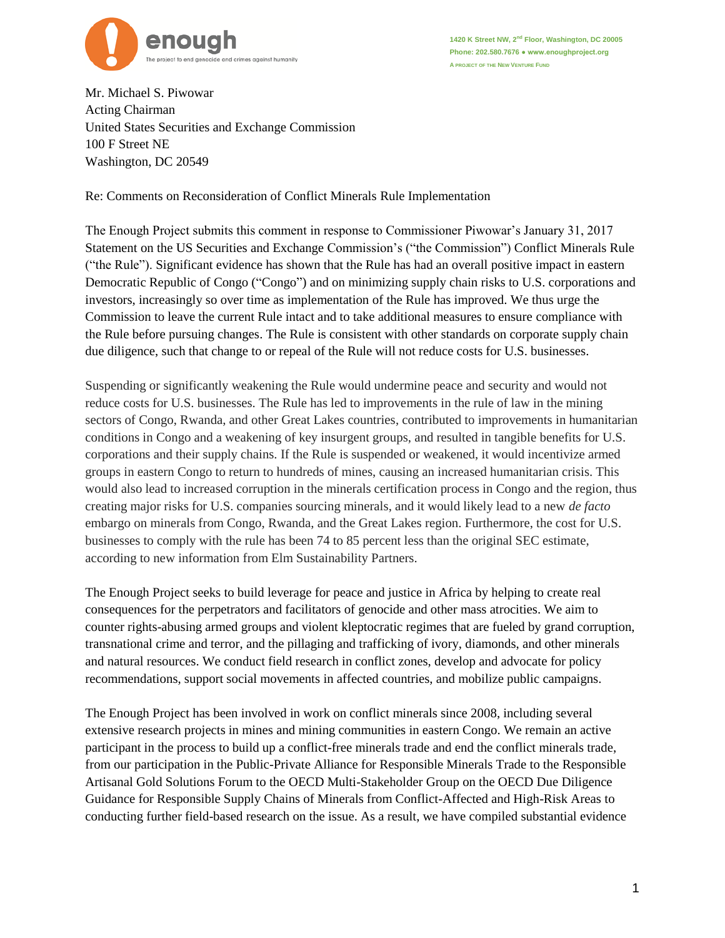

**1420 K Street NW, 2 nd Floor, Washington, DC 20005 Phone: 202.580.7676 ● www.enoughproject.org A PROJECT OF THE NEW VENTURE FUND**

Mr. Michael S. Piwowar Acting Chairman United States Securities and Exchange Commission 100 F Street NE Washington, DC 20549

Re: Comments on Reconsideration of Conflict Minerals Rule Implementation

The Enough Project submits this comment in response to Commissioner Piwowar's January 31, 2017 Statement on the US Securities and Exchange Commission's ("the Commission") Conflict Minerals Rule ("the Rule"). Significant evidence has shown that the Rule has had an overall positive impact in eastern Democratic Republic of Congo ("Congo") and on minimizing supply chain risks to U.S. corporations and investors, increasingly so over time as implementation of the Rule has improved. We thus urge the Commission to leave the current Rule intact and to take additional measures to ensure compliance with the Rule before pursuing changes. The Rule is consistent with other standards on corporate supply chain due diligence, such that change to or repeal of the Rule will not reduce costs for U.S. businesses.

Suspending or significantly weakening the Rule would undermine peace and security and would not reduce costs for U.S. businesses. The Rule has led to improvements in the rule of law in the mining sectors of Congo, Rwanda, and other Great Lakes countries, contributed to improvements in humanitarian conditions in Congo and a weakening of key insurgent groups, and resulted in tangible benefits for U.S. corporations and their supply chains. If the Rule is suspended or weakened, it would incentivize armed groups in eastern Congo to return to hundreds of mines, causing an increased humanitarian crisis. This would also lead to increased corruption in the minerals certification process in Congo and the region, thus creating major risks for U.S. companies sourcing minerals, and it would likely lead to a new *de facto*  embargo on minerals from Congo, Rwanda, and the Great Lakes region. Furthermore, the cost for U.S. businesses to comply with the rule has been 74 to 85 percent less than the original SEC estimate, according to new information from Elm Sustainability Partners.

The Enough Project seeks to build leverage for peace and justice in Africa by helping to create real consequences for the perpetrators and facilitators of genocide and other mass atrocities. We aim to counter rights-abusing armed groups and violent kleptocratic regimes that are fueled by grand corruption, transnational crime and terror, and the pillaging and trafficking of ivory, diamonds, and other minerals and natural resources. We conduct field research in conflict zones, develop and advocate for policy recommendations, support social movements in affected countries, and mobilize public campaigns.

The Enough Project has been involved in work on conflict minerals since 2008, including several extensive research projects in mines and mining communities in eastern Congo. We remain an active participant in the process to build up a conflict-free minerals trade and end the conflict minerals trade, from our participation in the Public-Private Alliance for Responsible Minerals Trade to the Responsible Artisanal Gold Solutions Forum to the OECD Multi-Stakeholder Group on the OECD Due Diligence Guidance for Responsible Supply Chains of Minerals from Conflict-Affected and High-Risk Areas to conducting further field-based research on the issue. As a result, we have compiled substantial evidence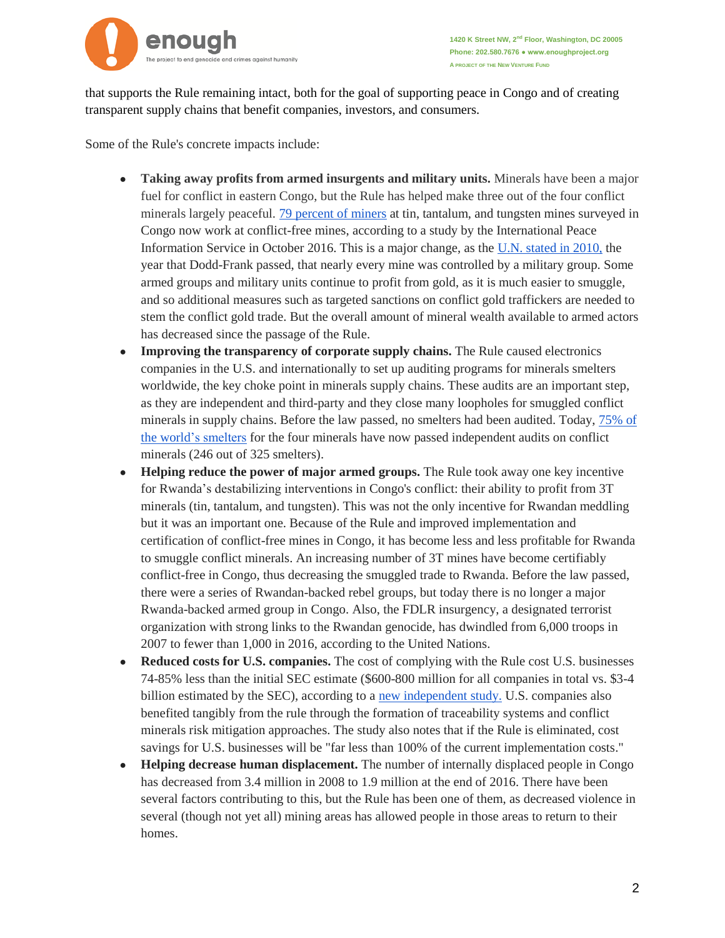

that supports the Rule remaining intact, both for the goal of supporting peace in Congo and of creating transparent supply chains that benefit companies, investors, and consumers.

Some of the Rule's concrete impacts include:

- **Taking away profits from armed insurgents and military units.** Minerals have been a major fuel for conflict in eastern Congo, but the Rule has helped make three out of the four conflict minerals largely peaceful. [79 percent of miners](http://ipisresearch.be/wp-content/uploads/2016/10/Analysis-and-map-artisanal-mining-DR-Congo_v005-1.pdf) at tin, tantalum, and tungsten mines surveyed in Congo now work at conflict-free mines, according to a study by the International Peace Information Service in October 2016. This is a major change, as the [U.N. stated in 2010,](http://www.un.org/ga/search/view_doc.asp?symbol=S/2010/252.) the year that Dodd-Frank passed, that nearly every mine was controlled by a military group. Some armed groups and military units continue to profit from gold, as it is much easier to smuggle, and so additional measures such as targeted sanctions on conflict gold traffickers are needed to stem the conflict gold trade. But the overall amount of mineral wealth available to armed actors has decreased since the passage of the Rule.
- **Improving the transparency of corporate supply chains.** The Rule caused electronics companies in the U.S. and internationally to set up auditing programs for minerals smelters worldwide, the key choke point in minerals supply chains. These audits are an important step, as they are independent and third-party and they close many loopholes for smuggled conflict minerals in supply chains. Before the law passed, no smelters had been audited. Today, [75% of](http://www.conflictfreesourcing.org/members/active-and-compliant-smelter-count/) [the world's smelters](http://www.conflictfreesourcing.org/members/active-and-compliant-smelter-count/) for the four minerals have now passed independent audits on conflict minerals (246 out of 325 smelters).
- **Helping reduce the power of major armed groups.** The Rule took away one key incentive for Rwanda's destabilizing interventions in Congo's conflict: their ability to profit from 3T minerals (tin, tantalum, and tungsten). This was not the only incentive for Rwandan meddling but it was an important one. Because of the Rule and improved implementation and certification of conflict-free mines in Congo, it has become less and less profitable for Rwanda to smuggle conflict minerals. An increasing number of 3T mines have become certifiably conflict-free in Congo, thus decreasing the smuggled trade to Rwanda. Before the law passed, there were a series of Rwandan-backed rebel groups, but today there is no longer a major Rwanda-backed armed group in Congo. Also, the FDLR insurgency, a designated terrorist organization with strong links to the Rwandan genocide, has dwindled from 6,000 troops in 2007 to fewer than 1,000 in 2016, according to the United Nations.
- **Reduced costs for U.S. companies.** The cost of complying with the Rule cost U.S. businesses 74-85% less than the initial SEC estimate (\$600-800 million for all companies in total vs. \$3-4 billion estimated by the SEC), according to [a](https://www.sec.gov/comments/statement-013117/cll2-1565701-131655.pdf) [new independent study.](https://www.sec.gov/comments/statement-013117/cll2-1565701-131655.pdf) U.S. companies also benefited tangibly from the rule through the formation of traceability systems and conflict minerals risk mitigation approaches. The study also notes that if the Rule is eliminated, cost savings for U.S. businesses will be "far less than  $100\%$  of the current implementation costs."
- **Helping decrease human displacement.** The number of internally displaced people in Congo has decreased from 3.4 million in 2008 to 1.9 million at the end of 2016. There have been several factors contributing to this, but the Rule has been one of them, as decreased violence in several (though not yet all) mining areas has allowed people in those areas to return to their homes.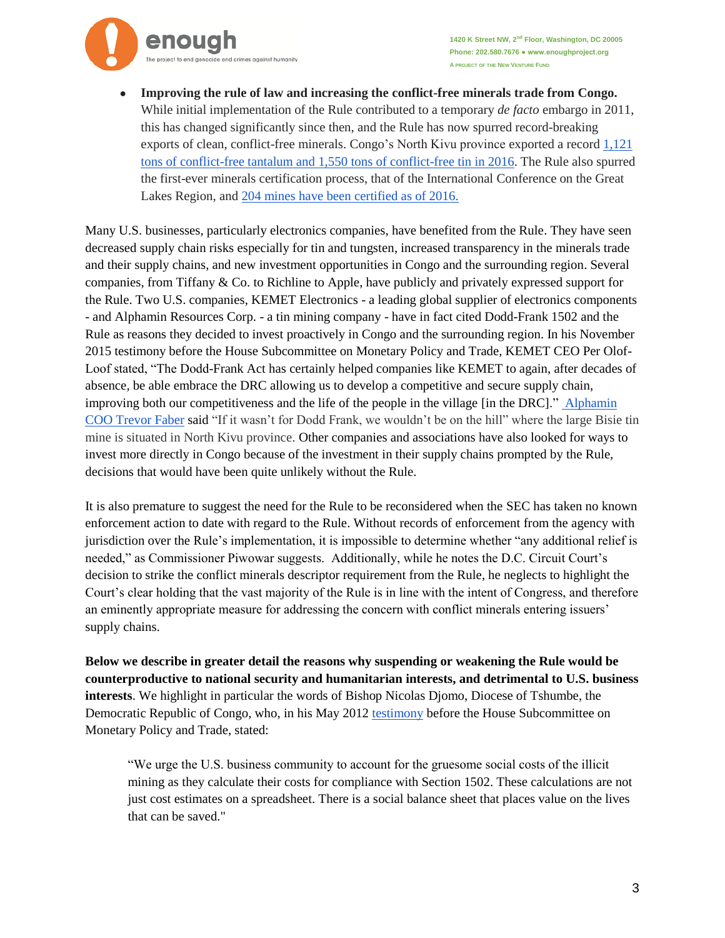

**Improving the rule of law and increasing the conflict-free minerals trade from Congo.** While initial implementation of the Rule contributed to a temporary *de facto* embargo in 2011, this has changed significantly since then, and the Rule has now spurred record-breaking exports of clean, conflict-free minerals. Congo's North Kivu province exported a record [1,121](http://enoughproject.org/blogs/de-facto-embargo-over-record-high-conflict-free-minerals-exports-eastern-congo)  [tons of conflict-free tantalum and 1,550 tons of conflict-free tin in 2016.](http://enoughproject.org/blogs/de-facto-embargo-over-record-high-conflict-free-minerals-exports-eastern-congo) The Rule also spurred the first-ever minerals certification process, that of the International Conference on the Great Lakes Region, an[d](http://enoughproject.org/blogs/number-conflict-free-mines-congo-increases-31-204-mines-certified) [204 mines have been certified](http://enoughproject.org/blogs/number-conflict-free-mines-congo-increases-31-204-mines-certified) as of 2016.

Many U.S. businesses, particularly electronics companies, have benefited from the Rule. They have seen decreased supply chain risks especially for tin and tungsten, increased transparency in the minerals trade and their supply chains, and new investment opportunities in Congo and the surrounding region. Several companies, from Tiffany & Co. to Richline to Apple, have publicly and privately expressed support for the Rule. Two U.S. companies, KEMET Electronics - a leading global supplier of electronics components - and Alphamin Resources Corp. - a tin mining company - have in fact cited Dodd-Frank 1502 and the Rule as reasons they decided to invest proactively in Congo and the surrounding region. In his November 2015 testimony before the House Subcommittee on Monetary Policy and Trade, KEMET CEO Per Olof-Loof stated, "The Dodd-Frank Act has certainly helped companies like KEMET to again, after decades of absence, be able embrace the DRC allowing us to develop a competitive and secure supply chain, improving both our competitiveness and the life of the people in the village [in the DRC]." [Alphamin](http://mgafrica.com/article/2016-05-04-in-remote-dr-congo-mountain-of-tin-attracts-investors-to-the-worlds-largest-untapped-site-bloomberg/)  [COO Trevor Faber](http://mgafrica.com/article/2016-05-04-in-remote-dr-congo-mountain-of-tin-attracts-investors-to-the-worlds-largest-untapped-site-bloomberg/) said "If it wasn't for Dodd Frank, we wouldn't be on the hill" where the large Bisie tin mine is situated in North Kivu province. Other companies and associations have also looked for ways to invest more directly in Congo because of the investment in their supply chains prompted by the Rule, decisions that would have been quite unlikely without the Rule.

It is also premature to suggest the need for the Rule to be reconsidered when the SEC has taken no known enforcement action to date with regard to the Rule. Without records of enforcement from the agency with jurisdiction over the Rule's implementation, it is impossible to determine whether "any additional relief is needed," as Commissioner Piwowar suggests. Additionally, while he notes the D.C. Circuit Court's decision to strike the conflict minerals descriptor requirement from the Rule, he neglects to highlight the Court's clear holding that the vast majority of the Rule is in line with the intent of Congress, and therefore an eminently appropriate measure for addressing the concern with conflict minerals entering issuers' supply chains.

**Below we describe in greater detail the reasons why suspending or weakening the Rule would be counterproductive to national security and humanitarian interests, and detrimental to U.S. business interests**. We highlight in particular the words of Bishop Nicolas Djomo, Diocese of Tshumbe, the Democratic Republic of Congo, who, in his May 2012 [testimony](https://www.gpo.gov/fdsys/pkg/CHRG-112hhrg75730/html/CHRG-112hhrg75730.htm) before the House Subcommittee on Monetary Policy and Trade, stated:

"We urge the U.S. business community to account for the gruesome social costs of the illicit mining as they calculate their costs for compliance with Section 1502. These calculations are not just cost estimates on a spreadsheet. There is a social balance sheet that places value on the lives that can be saved."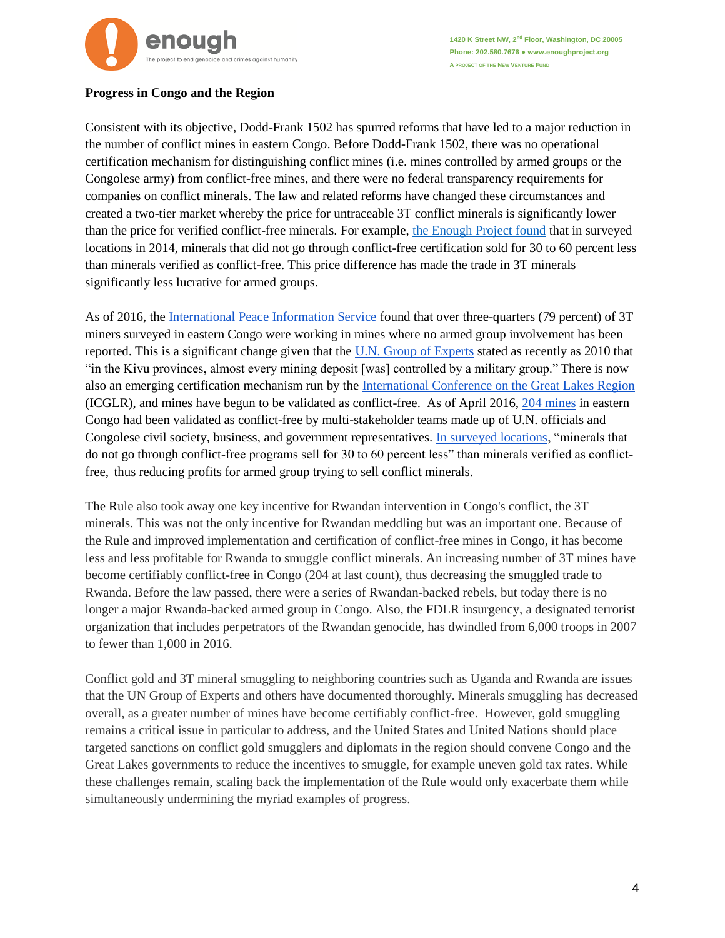

**1420 K Street NW, 2 nd Floor, Washington, DC 20005 Phone: 202.580.7676 ● www.enoughproject.org A PROJECT OF THE NEW VENTURE FUND**

## **Progress in Congo and the Region**

Consistent with its objective, Dodd-Frank 1502 has spurred reforms that have led to a major reduction in the number of conflict mines in eastern Congo. Before Dodd-Frank 1502, there was no operational certification mechanism for distinguishing conflict mines (i.e. mines controlled by armed groups or the Congolese army) from conflict-free mines, and there were no federal transparency requirements for companies on conflict minerals. The law and related reforms have changed these circumstances and created a two-tier market whereby the price for untraceable 3T conflict minerals is significantly lower than the price for verified conflict-free minerals. For example, [the Enough Project found](http://www.enoughproject.org/files/Enough%20Project%20-%20The%20Impact%20of%20Dodd-Frank%20and%20Conflict%20Minerals%20Reforms%20on%20Eastern%20Congo%E2%80%99s%20Conflict%2010June2014.pdf) that in surveyed locations in 2014, minerals that did not go through conflict-free certification sold for 30 to 60 percent less than minerals verified as conflict-free. This price difference has made the trade in 3T minerals significantly less lucrative for armed groups.

As of 2016, the [International Peace Information Service](http://ipisresearch.be/publication/analysis-interactive-map-artisanal-mining-areas-eastern-dr-congo-2/) found that over three-quarters (79 percent) of 3T miners surveyed in eastern Congo were working in mines where no armed group involvement has been reported. This is a significant change given that the [U.N. Group of Experts](http://www.un.org/ga/search/view_doc.asp?symbol=S/2010/252) stated as recently as 2010 that "in the Kivu provinces, almost every mining deposit [was] controlled by a military group." There is now also an emerging certification mechanism run by the [International Conference on the Great Lakes Region](http://www.oecd.org/investment/mne/49111368.pdf) (ICGLR), and mines have begun to be validated as conflict-free. As of April 2016, [204 mines](http://enoughproject.org/files/Bulletin_ECQ_April_2016_EN.pdf) in eastern Congo had been validated as conflict-free by multi-stakeholder teams made up of U.N. officials and Congolese civil society, business, and government representatives. [In surveyed locations,](http://www.enoughproject.org/reports/impact-dodd-frank-and-conflict-minerals-reforms-eastern-congo%E2%80%99s-war) "minerals that do not go through conflict-free programs sell for 30 to 60 percent less" than minerals verified as conflictfree, thus reducing profits for armed group trying to sell conflict minerals.

The Rule also took away one key incentive for Rwandan intervention in Congo's conflict, the 3T minerals. This was not the only incentive for Rwandan meddling but was an important one. Because of the Rule and improved implementation and certification of conflict-free mines in Congo, it has become less and less profitable for Rwanda to smuggle conflict minerals. An increasing number of 3T mines have become certifiably conflict-free in Congo (204 at last count), thus decreasing the smuggled trade to Rwanda. Before the law passed, there were a series of Rwandan-backed rebels, but today there is no longer a major Rwanda-backed armed group in Congo. Also, the FDLR insurgency, a designated terrorist organization that includes perpetrators of the Rwandan genocide, has dwindled from 6,000 troops in 2007 to fewer than 1,000 in 2016.

Conflict gold and 3T mineral smuggling to neighboring countries such as Uganda and Rwanda are issues that the UN Group of Experts and others have documented thoroughly. Minerals smuggling has decreased overall, as a greater number of mines have become certifiably conflict-free. However, gold smuggling remains a critical issue in particular to address, and the United States and United Nations should place targeted sanctions on conflict gold smugglers and diplomats in the region should convene Congo and the Great Lakes governments to reduce the incentives to smuggle, for example uneven gold tax rates. While these challenges remain, scaling back the implementation of the Rule would only exacerbate them while simultaneously undermining the myriad examples of progress.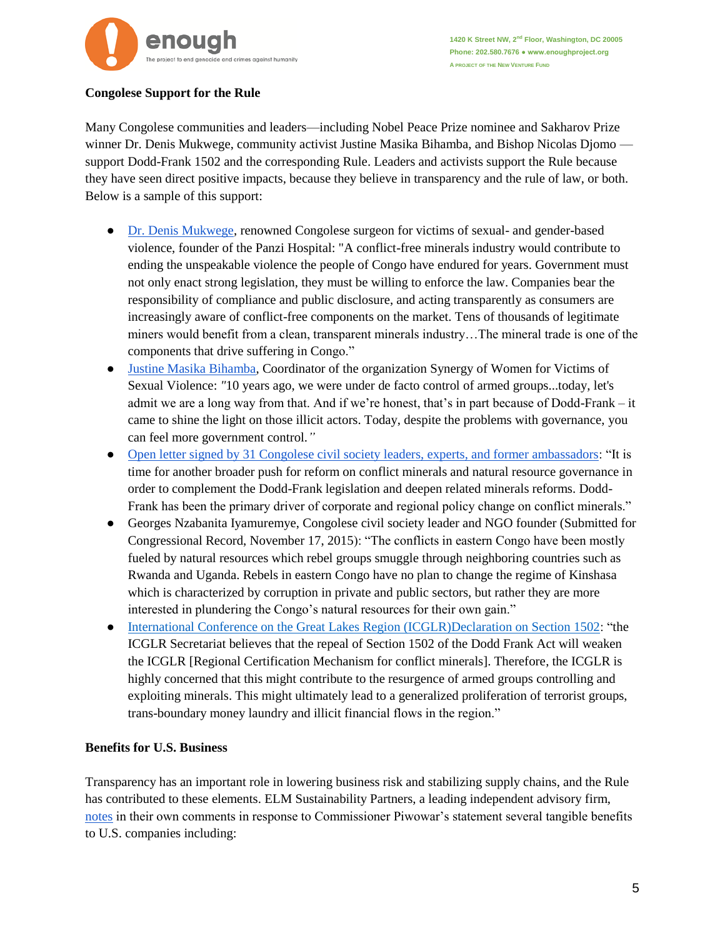

## **Congolese Support for the Rule**

Many Congolese communities and leaders—including Nobel Peace Prize nominee and Sakharov Prize winner Dr. Denis Mukwege, community activist Justine Masika Bihamba, and Bishop Nicolas Djomo support Dodd-Frank 1502 and the corresponding Rule. Leaders and activists support the Rule because they have seen direct positive impacts, because they believe in transparency and the rule of law, or both. Below is a sample of this support:

- [Dr. Denis Mukwege,](http://www.panzifoundation.org/blog/2016/4/18/statement-from-dr-denis-mukwege-eu-vote-is-a-victory-for-human-rights) renowned Congolese surgeon for victims of sexual- and gender-based violence, founder of the Panzi Hospital: "A conflict-free minerals industry would contribute to ending the unspeakable violence the people of Congo have endured for years. Government must not only enact strong legislation, they must be willing to enforce the law. Companies bear the responsibility of compliance and public disclosure, and acting transparently as consumers are increasingly aware of conflict-free components on the market. Tens of thousands of legitimate miners would benefit from a clean, transparent minerals industry…The mineral trade is one of the components that drive suffering in Congo."
- [Justine Masika Bihamba,](http://enoughproject.org/special-topics/progress-and-challenges-conflict-minerals-facts-dodd-frank-1502#_edn8) Coordinator of the organization Synergy of Women for Victims of Sexual Violence: *"*10 years ago, we were under de facto control of armed groups...today, let's admit we are a long way from that. And if we're honest, that's in part because of Dodd-Frank – it came to shine the light on those illicit actors. Today, despite the problems with governance, you can feel more government control.*"*
- [Open letter signed by 31 Congolese civil society leaders, experts, and former ambassadors:](https://gattrn.wordpress.com/2014/10/15/six-facts-from-the-north-kivu-civil-society-organizations-specialized-in-the-sector-of-natural-resources-in-response-to-the-open-letter-addressed-to-governments-companies-non-governmental-organizat/) "It is time for another broader push for reform on conflict minerals and natural resource governance in order to complement the Dodd-Frank legislation and deepen related minerals reforms. Dodd-Frank has been the primary driver of corporate and regional policy change on conflict minerals."
- Georges Nzabanita Iyamuremye, Congolese civil society leader and NGO founder (Submitted for Congressional Record, November 17, 2015): "The conflicts in eastern Congo have been mostly fueled by natural resources which rebel groups smuggle through neighboring countries such as Rwanda and Uganda. Rebels in eastern Congo have no plan to change the regime of Kinshasa which is characterized by corruption in private and public sectors, but rather they are more interested in plundering the Congo's natural resources for their own gain."
- [International Conference on the Great Lakes Region \(ICGLR\)Declaration on Section 1502:](https://www.icglr.org/images/17-02-15%20Press%20Release%20Dodd%20Frank%20Act%20WP2.pdf) "the ICGLR Secretariat believes that the repeal of Section 1502 of the Dodd Frank Act will weaken the ICGLR [Regional Certification Mechanism for conflict minerals]. Therefore, the ICGLR is highly concerned that this might contribute to the resurgence of armed groups controlling and exploiting minerals. This might ultimately lead to a generalized proliferation of terrorist groups, trans-boundary money laundry and illicit financial flows in the region."

## **Benefits for U.S. Business**

Transparency has an important role in lowering business risk and stabilizing supply chains, and the Rule has contributed to these elements. ELM Sustainability Partners, a leading independent advisory firm, [notes](https://www.sec.gov/comments/statement-013117/cll2-1565701-131655.pdf) in their own comments in response to Commissioner Piwowar's statement several tangible benefits to U.S. companies including: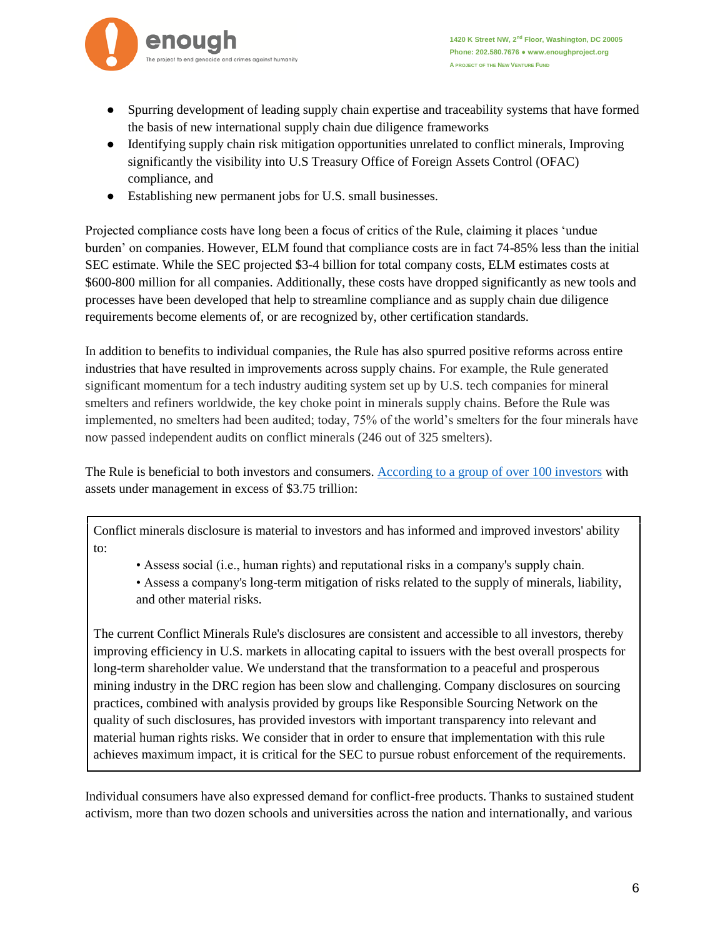

- Spurring development of leading supply chain expertise and traceability systems that have formed the basis of new international supply chain due diligence frameworks
- Identifying supply chain risk mitigation opportunities unrelated to conflict minerals, Improving significantly the visibility into U.S Treasury Office of Foreign Assets Control (OFAC) compliance, and
- Establishing new permanent jobs for U.S. small businesses.

Projected compliance costs have long been a focus of critics of the Rule, claiming it places 'undue burden' on companies. However, ELM found that compliance costs are in fact 74-85% less than the initial SEC estimate. While the SEC projected \$3-4 billion for total company costs, ELM estimates costs at \$600-800 million for all companies. Additionally, these costs have dropped significantly as new tools and processes have been developed that help to streamline compliance and as supply chain due diligence requirements become elements of, or are recognized by, other certification standards.

In addition to benefits to individual companies, the Rule has also spurred positive reforms across entire industries that have resulted in improvements across supply chains. For example, the Rule generated significant momentum for a tech industry auditing system set up by U.S. tech companies for mineral smelters and refiners worldwide, the key choke point in minerals supply chains. Before the Rule was implemented, no smelters had been audited; today, 75% of the world's smelters for the four minerals have now passed independent audits on conflict minerals (246 out of 325 smelters).

The Rule is beneficial to both investors and consumers. [According to a group of over 100 investors](https://www.sec.gov/comments/statement-013117/cll2-1590241-132174.pdf) with assets under management in excess of \$3.75 trillion:

Conflict minerals disclosure is material to investors and has informed and improved investors' ability to:

• Assess social (i.e., human rights) and reputational risks in a company's supply chain.

• Assess a company's long-term mitigation of risks related to the supply of minerals, liability, and other material risks.

The current Conflict Minerals Rule's disclosures are consistent and accessible to all investors, thereby improving efficiency in U.S. markets in allocating capital to issuers with the best overall prospects for long-term shareholder value. We understand that the transformation to a peaceful and prosperous mining industry in the DRC region has been slow and challenging. Company disclosures on sourcing practices, combined with analysis provided by groups like Responsible Sourcing Network on the quality of such disclosures, has provided investors with important transparency into relevant and material human rights risks. We consider that in order to ensure that implementation with this rule achieves maximum impact, it is critical for the SEC to pursue robust enforcement of the requirements.

Individual consumers have also expressed demand for conflict-free products. Thanks to sustained student activism, more than two dozen schools and universities across the nation and internationally, and various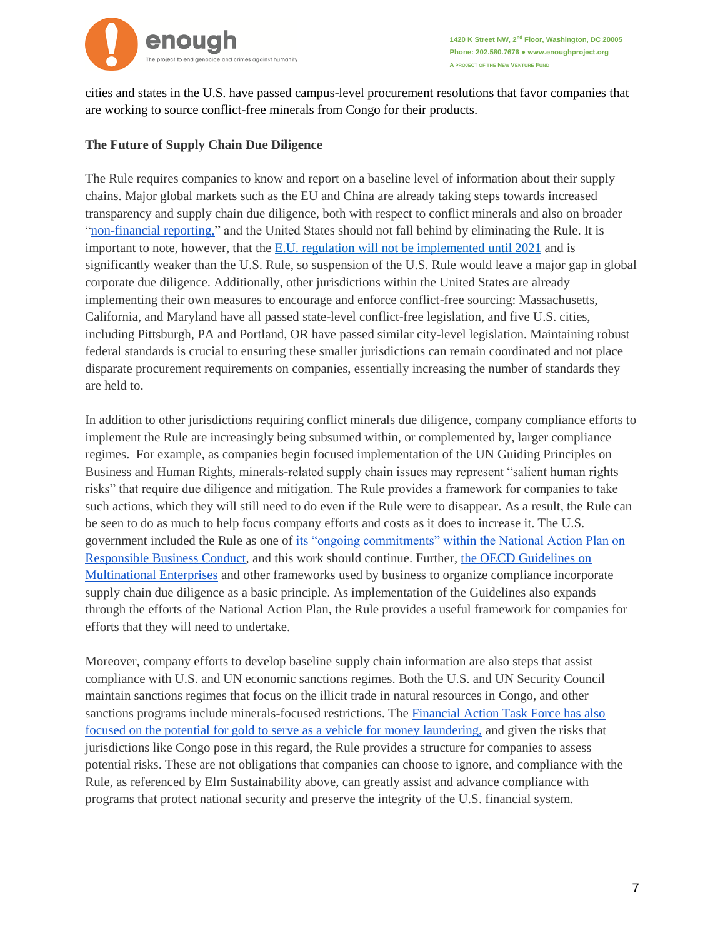

cities and states in the U.S. have passed campus-level procurement resolutions that favor companies that are working to source conflict-free minerals from Congo for their products.

## **The Future of Supply Chain Due Diligence**

The Rule requires companies to know and report on a baseline level of information about their supply chains. Major global markets such as the EU and China are already taking steps towards increased transparency and supply chain due diligence, both with respect to conflict minerals and also on broader ["non-financial reporting,](http://eur-lex.europa.eu/legal-content/EN/TXT/PDF/?uri=CELEX:32014L0095&from=EN)" and the United States should not fall behind by eliminating the Rule. It is important to note, however, that the [E.U. regulation will not be implemented until 2021](http://trade.ec.europa.eu/doclib/press/index.cfm?id=1587) and is significantly weaker than the U.S. Rule, so suspension of the U.S. Rule would leave a major gap in global corporate due diligence. Additionally, other jurisdictions within the United States are already implementing their own measures to encourage and enforce conflict-free sourcing: Massachusetts, California, and Maryland have all passed state-level conflict-free legislation, and five U.S. cities, including Pittsburgh, PA and Portland, OR have passed similar city-level legislation. Maintaining robust federal standards is crucial to ensuring these smaller jurisdictions can remain coordinated and not place disparate procurement requirements on companies, essentially increasing the number of standards they are held to.

In addition to other jurisdictions requiring conflict minerals due diligence, company compliance efforts to implement the Rule are increasingly being subsumed within, or complemented by, larger compliance regimes. For example, as companies begin focused implementation of the UN Guiding Principles on Business and Human Rights, minerals-related supply chain issues may represent "salient human rights risks" that require due diligence and mitigation. The Rule provides a framework for companies to take such actions, which they will still need to do even if the Rule were to disappear. As a result, the Rule can be seen to do as much to help focus company efforts and costs as it does to increase it. The U.S. government included the Rule as one of [its "ongoing commitments" within the National Action Plan on](https://www.state.gov/documents/organization/265918.pdf)  [Responsible Business Conduct,](https://www.state.gov/documents/organization/265918.pdf) and this work should continue. Further, [the OECD Guidelines on](http://www.oecd.org/daf/inv/mne/48004323.pdf)  [Multinational Enterprises](http://www.oecd.org/daf/inv/mne/48004323.pdf) and other frameworks used by business to organize compliance incorporate supply chain due diligence as a basic principle. As implementation of the Guidelines also expands through the efforts of the National Action Plan, the Rule provides a useful framework for companies for efforts that they will need to undertake.

Moreover, company efforts to develop baseline supply chain information are also steps that assist compliance with U.S. and UN economic sanctions regimes. Both the U.S. and UN Security Council maintain sanctions regimes that focus on the illicit trade in natural resources in Congo, and other sanctions programs include minerals-focused restrictions. The [Financial Action Task Force has also](http://www.fatf-gafi.org/media/fatf/documents/reports/ML-TF-risks-vulnerabilities-associated-with-gold.pdf)  [focused on the potential for gold to serve as a vehicle for money laundering,](http://www.fatf-gafi.org/media/fatf/documents/reports/ML-TF-risks-vulnerabilities-associated-with-gold.pdf) and given the risks that jurisdictions like Congo pose in this regard, the Rule provides a structure for companies to assess potential risks. These are not obligations that companies can choose to ignore, and compliance with the Rule, as referenced by Elm Sustainability above, can greatly assist and advance compliance with programs that protect national security and preserve the integrity of the U.S. financial system.